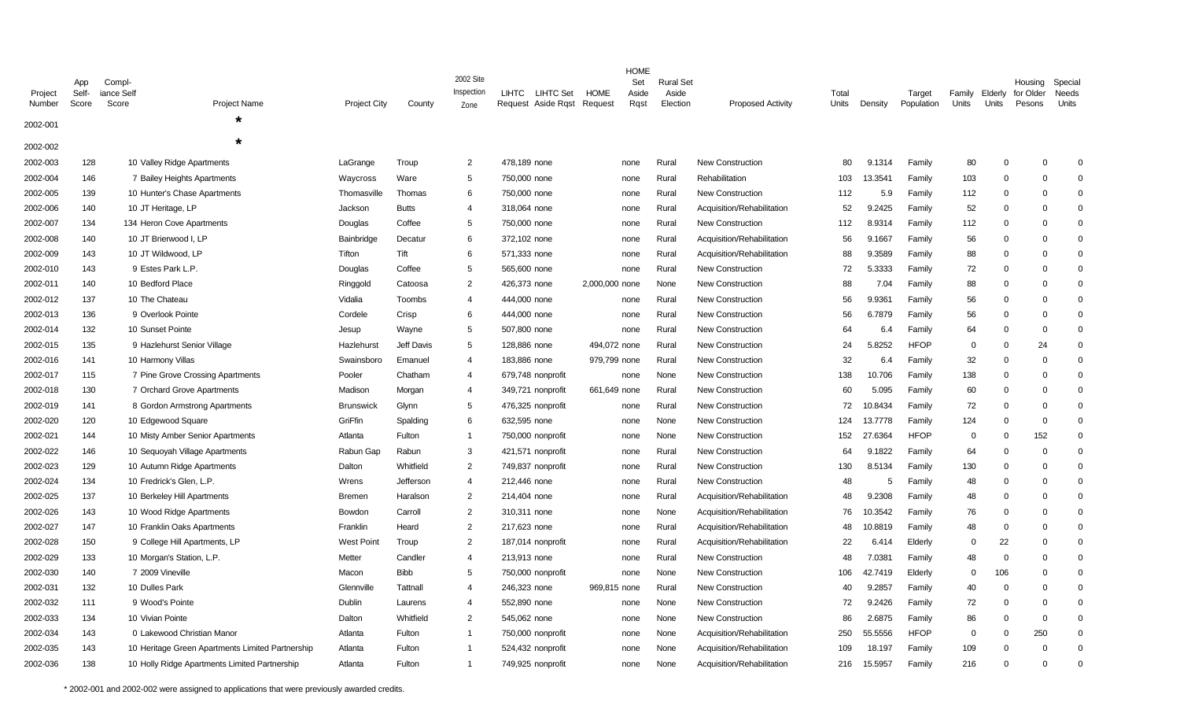| Project<br>Number<br>2002-001 | App<br>Self-<br>Score | Compl-<br>iance Self<br>Score | <b>Project Name</b><br>÷                         | Project City      | County       | 2002 Site<br>Inspection<br>Zone | LIHTC<br><b>LIHTC Set</b><br>Request Aside Rgst | <b>HOME</b><br>Request | <b>HOME</b><br>Set<br>Aside<br>Rqst | <b>Rural Set</b><br>Aside<br>Election | <b>Proposed Activity</b>   | Total<br>Units | Density | Target<br>Population | Family<br>Units | Elderly<br>Units | Housing<br>for Older<br>Pesons | Special<br>Needs<br>Units |
|-------------------------------|-----------------------|-------------------------------|--------------------------------------------------|-------------------|--------------|---------------------------------|-------------------------------------------------|------------------------|-------------------------------------|---------------------------------------|----------------------------|----------------|---------|----------------------|-----------------|------------------|--------------------------------|---------------------------|
| 2002-002                      |                       |                               | $\star$                                          |                   |              |                                 |                                                 |                        |                                     |                                       |                            |                |         |                      |                 |                  |                                |                           |
| 2002-003                      | 128                   |                               | 10 Valley Ridge Apartments                       | LaGrange          | Troup        | $\overline{2}$                  | 478,189 none                                    | none                   |                                     | Rural                                 | <b>New Construction</b>    | 80             | 9.1314  | Family               | 80              | $\Omega$         | $\Omega$                       | $\Omega$                  |
| 2002-004                      | 146                   |                               | 7 Bailey Heights Apartments                      | Waycross          | Ware         | 5                               | 750,000 none                                    | none                   |                                     | Rural                                 | Rehabilitation             | 103            | 13.3541 | Family               | 103             | $\Omega$         | $\mathbf 0$                    | $\Omega$                  |
| 2002-005                      | 139                   |                               | 10 Hunter's Chase Apartments                     | Thomasville       | Thomas       | 6                               | 750,000 none                                    | none                   |                                     | Rural                                 | New Construction           | 112            | 5.9     | Family               | 112             | $\Omega$         | $\Omega$                       | $\Omega$                  |
| 2002-006                      | 140                   |                               | 10 JT Heritage, LP                               | Jackson           | <b>Butts</b> | $\overline{4}$                  | 318,064 none                                    | none                   |                                     | Rural                                 | Acquisition/Rehabilitation | 52             | 9.2425  | Family               | 52              | $\Omega$         | $\Omega$                       | $\Omega$                  |
| 2002-007                      | 134                   |                               | 134 Heron Cove Apartments                        | Douglas           | Coffee       | 5                               | 750,000 none                                    | none                   |                                     | Rural                                 | <b>New Construction</b>    | 112            | 8.9314  | Family               | 112             | $\Omega$         | $\Omega$                       | $\Omega$                  |
| 2002-008                      | 140                   |                               | 10 JT Brierwood I, LP                            | Bainbridge        | Decatur      | 6                               | 372,102 none                                    | none                   |                                     | Rural                                 | Acquisition/Rehabilitation | 56             | 9.1667  | Family               | 56              | $\Omega$         | O                              | $\Omega$                  |
| 2002-009                      | 143                   |                               | 10 JT Wildwood, LP                               | Tifton            | Tift         | 6                               | 571,333 none                                    | none                   |                                     | Rural                                 | Acquisition/Rehabilitation | 88             | 9.3589  | Family               | 88              | $\Omega$         | $\Omega$                       | $\Omega$                  |
| 2002-010                      | 143                   |                               | 9 Estes Park L.P.                                | Douglas           | Coffee       | 5                               | 565,600 none                                    | none                   |                                     | Rural                                 | <b>New Construction</b>    | 72             | 5.3333  | Family               | 72              | $\Omega$         | $\Omega$                       | $\Omega$                  |
| 2002-011                      | 140                   |                               | 10 Bedford Place                                 | Ringgold          | Catoosa      | 2                               | 426,373 none                                    | 2,000,000 none         |                                     | None                                  | <b>New Construction</b>    | 88             | 7.04    | Family               | 88              | $\Omega$         | $\Omega$                       | $\Omega$                  |
| 2002-012                      | 137                   |                               | 10 The Chateau                                   | Vidalia           | Toombs       | 4                               | 444,000 none                                    | none                   |                                     | Rural                                 | <b>New Construction</b>    | 56             | 9.9361  | Family               | 56              | $\Omega$         | $\Omega$                       | $\Omega$                  |
| 2002-013                      | 136                   |                               | 9 Overlook Pointe                                | Cordele           | Crisp        | 6                               | 444,000 none                                    | none                   |                                     | Rural                                 | <b>New Construction</b>    | 56             | 6.7879  | Family               | 56              | $\Omega$         | $\Omega$                       | $\Omega$                  |
| 2002-014                      | 132                   |                               | 10 Sunset Pointe                                 | Jesup             | Wayne        | 5                               | 507,800 none                                    | none                   |                                     | Rural                                 | New Construction           | 64             | 6.4     | Family               | 64              | $\Omega$         | $\Omega$                       | $\Omega$                  |
| 2002-015                      | 135                   |                               | 9 Hazlehurst Senior Village                      | Hazlehurst        | Jeff Davis   | 5                               | 128,886 none                                    | 494,072 none           |                                     | Rural                                 | <b>New Construction</b>    | 24             | 5.8252  | <b>HFOP</b>          | $\mathbf 0$     | $\Omega$         | 24                             | $\mathbf 0$               |
| 2002-016                      | 141                   |                               | 10 Harmony Villas                                | Swainsboro        | Emanuel      | $\overline{4}$                  | 183,886 none                                    | 979,799 none           |                                     | Rural                                 | <b>New Construction</b>    | 32             | 6.4     | Family               | 32              | $\Omega$         | $\Omega$                       | $\Omega$                  |
| 2002-017                      | 115                   |                               | 7 Pine Grove Crossing Apartments                 | Pooler            | Chatham      | $\overline{4}$                  | 679,748 nonprofit                               | none                   |                                     | None                                  | New Construction           | 138            | 10.706  | Family               | 138             | $\Omega$         | $\Omega$                       | $\Omega$                  |
| 2002-018                      | 130                   |                               | 7 Orchard Grove Apartments                       | Madison           | Morgan       | $\overline{4}$                  | 349,721 nonprofit                               | 661,649 none           |                                     | Rural                                 | <b>New Construction</b>    | 60             | 5.095   | Family               | 60              | $\Omega$         | $\Omega$                       | $\Omega$                  |
| 2002-019                      | 141                   |                               | 8 Gordon Armstrong Apartments                    | <b>Brunswick</b>  | Glynn        | 5                               | 476,325 nonprofit                               | none                   |                                     | Rural                                 | <b>New Construction</b>    | 72             | 10.8434 | Family               | 72              | $\Omega$         | $\Omega$                       | $\Omega$                  |
| 2002-020                      | 120                   |                               | 10 Edgewood Square                               | GriFfin           | Spalding     | 6                               | 632,595 none                                    | none                   |                                     | None                                  | <b>New Construction</b>    | 124            | 13.7778 | Family               | 124             | $\Omega$         | $\mathbf 0$                    | $\Omega$                  |
| 2002-021                      | 144                   |                               | 10 Misty Amber Senior Apartments                 | Atlanta           | Fulton       | -1                              | 750,000 nonprofit                               | none                   |                                     | None                                  | <b>New Construction</b>    | 152            | 27.6364 | <b>HFOP</b>          | 0               | $\Omega$         | 152                            | $\Omega$                  |
| 2002-022                      | 146                   |                               | 10 Sequoyah Village Apartments                   | Rabun Gap         | Rabun        | 3                               | 421,571 nonprofit                               | none                   |                                     | Rural                                 | <b>New Construction</b>    | 64             | 9.1822  | Family               | 64              | $\Omega$         | $\Omega$                       | $\Omega$                  |
| 2002-023                      | 129                   |                               | 10 Autumn Ridge Apartments                       | Dalton            | Whitfield    | 2                               | 749,837 nonprofit                               | none                   |                                     | Rural                                 | <b>New Construction</b>    | 130            | 8.5134  | Family               | 130             | $\Omega$         | 0                              | $\Omega$                  |
| 2002-024                      | 134                   |                               | 10 Fredrick's Glen, L.P.                         | Wrens             | Jefferson    | $\overline{4}$                  | 212,446 none                                    | none                   |                                     | Rural                                 | <b>New Construction</b>    | 48             | 5       | Family               | 48              | $\Omega$         | $\Omega$                       | $\Omega$                  |
| 2002-025                      | 137                   |                               | 10 Berkeley Hill Apartments                      | <b>Bremen</b>     | Haralson     | 2                               | 214,404 none                                    | none                   |                                     | Rural                                 | Acquisition/Rehabilitation | 48             | 9.2308  | Family               | 48              | $\Omega$         | $\Omega$                       | $\Omega$                  |
| 2002-026                      | 143                   |                               | 10 Wood Ridge Apartments                         | Bowdon            | Carroll      | $\overline{2}$                  | 310,311 none                                    | none                   |                                     | None                                  | Acquisition/Rehabilitation | 76             | 10.3542 | Family               | 76              | $\Omega$         | $\Omega$                       | $\Omega$                  |
| 2002-027                      | 147                   |                               | 10 Franklin Oaks Apartments                      | Franklin          | Heard        | $\overline{2}$                  | 217,623 none                                    | none                   |                                     | Rural                                 | Acquisition/Rehabilitation | 48             | 10.8819 | Family               | 48              | $\Omega$         | $\Omega$                       | $\Omega$                  |
| 2002-028                      | 150                   |                               | 9 College Hill Apartments, LP                    | <b>West Point</b> | Troup        | $\overline{2}$                  | 187,014 nonprofit                               | none                   |                                     | Rural                                 | Acquisition/Rehabilitation | 22             | 6.414   | Elderly              | $\Omega$        | 22               | $\Omega$                       | $\Omega$                  |
| 2002-029                      | 133                   |                               | 10 Morgan's Station, L.P.                        | Metter            | Candler      | $\overline{4}$                  | 213,913 none                                    | none                   |                                     | Rural                                 | <b>New Construction</b>    | 48             | 7.0381  | Family               | 48              | $\overline{0}$   | $\Omega$                       | $\Omega$                  |
| 2002-030                      | 140                   |                               | 7 2009 Vineville                                 | Macon             | <b>Bibb</b>  | 5                               | 750,000 nonprofit                               | none                   |                                     | None                                  | <b>New Construction</b>    | 106            | 42.7419 | Elderly              | 0               | 106              | $\Omega$                       | $\Omega$                  |
| 2002-031                      | 132                   |                               | 10 Dulles Park                                   | Glennville        | Tattnall     | $\overline{4}$                  | 246,323 none                                    | 969,815 none           |                                     | Rural                                 | <b>New Construction</b>    | 40             | 9.2857  | Family               | 40              | $\Omega$         | $\Omega$                       | $\Omega$                  |
| 2002-032                      | 111                   |                               | 9 Wood's Pointe                                  | Dublin            | Laurens      | $\overline{4}$                  | 552.890 none                                    | none                   |                                     | None                                  | New Construction           | 72             | 9.2426  | Family               | 72              | $\Omega$         | $\Omega$                       | $\Omega$                  |
| 2002-033                      | 134                   |                               | 10 Vivian Pointe                                 | Dalton            | Whitfield    | 2                               | 545,062 none                                    | none                   |                                     | None                                  | <b>New Construction</b>    | 86             | 2.6875  | Family               | 86              | $\mathbf 0$      | $\mathbf 0$                    | $\Omega$                  |
| 2002-034                      | 143                   |                               | 0 Lakewood Christian Manor                       | Atlanta           | Fulton       | $\overline{1}$                  | 750,000 nonprofit                               | none                   |                                     | None                                  | Acquisition/Rehabilitation | 250            | 55.5556 | <b>HFOP</b>          | $\mathbf 0$     | $\Omega$         | 250                            | $\Omega$                  |
| 2002-035                      | 143                   |                               | 10 Heritage Green Apartments Limited Partnership | Atlanta           | Fulton       | $\overline{1}$                  | 524,432 nonprofit                               | none                   |                                     | None                                  | Acquisition/Rehabilitation | 109            | 18.197  | Family               | 109             | $\Omega$         | $\Omega$                       | $\Omega$                  |
| 2002-036                      | 138                   |                               | 10 Holly Ridge Apartments Limited Partnership    | Atlanta           | Fulton       | 1                               | 749,925 nonprofit                               | none                   |                                     | None                                  | Acquisition/Rehabilitation | 216            | 15.5957 | Family               | 216             | $\Omega$         | $\Omega$                       | $\Omega$                  |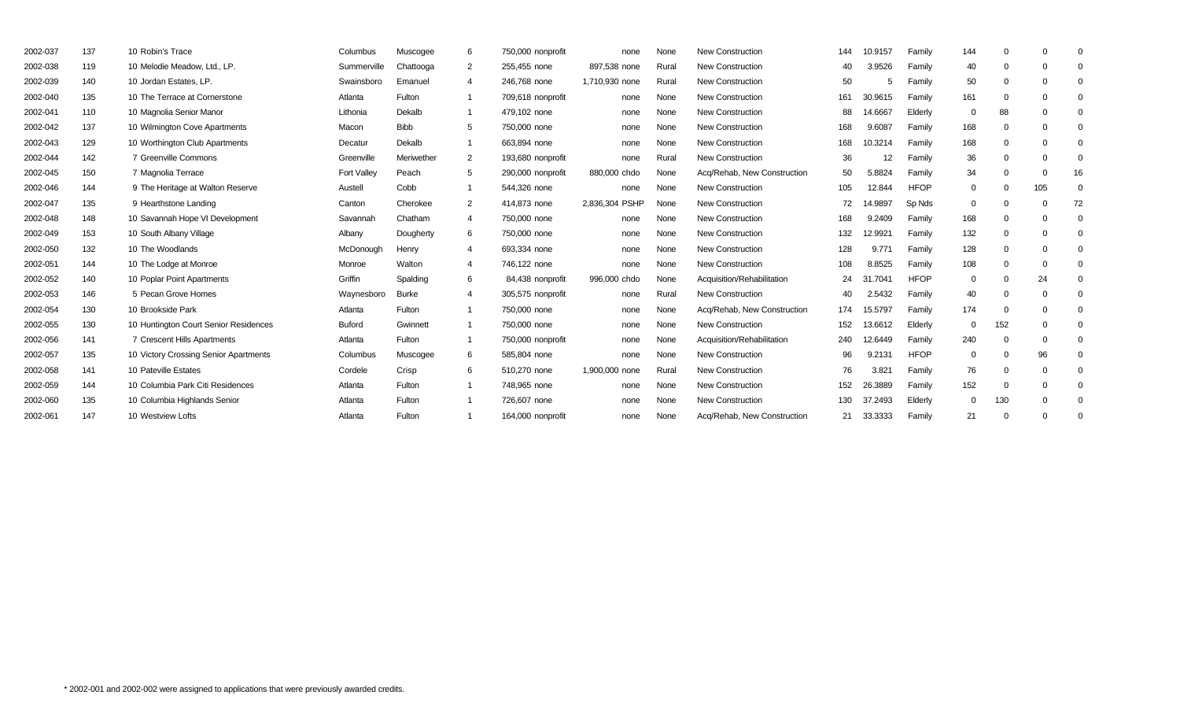| 2002-037 | 137 | 10 Robin's Trace                      | Columbus      | Muscogee     | 6 | 750,000 nonprofit | none           | None  | <b>New Construction</b>     | 144 | 10.9157               | Family      | 144      | $\Omega$ |          |    |
|----------|-----|---------------------------------------|---------------|--------------|---|-------------------|----------------|-------|-----------------------------|-----|-----------------------|-------------|----------|----------|----------|----|
| 2002-038 | 119 | 10 Melodie Meadow. Ltd., LP.          | Summerville   | Chattooga    | 2 | 255.455 none      | 897,538 none   | Rural | <b>New Construction</b>     | 40  | 3.9526                | Family      | 40       | $\Omega$ |          |    |
| 2002-039 | 140 | 10 Jordan Estates, LP.                | Swainsboro    | Emanuel      | 4 | 246,768 none      | 1,710,930 none | Rural | <b>New Construction</b>     | 50  | 5                     | Family      | 50       | $\Omega$ |          |    |
| 2002-040 | 135 | 10 The Terrace at Cornerstone         | Atlanta       | Fulton       |   | 709,618 nonprofit | none           | None  | <b>New Construction</b>     | 161 | 30.9615               | Family      | 161      | $\Omega$ |          |    |
| 2002-041 | 110 | 10 Magnolia Senior Manor              | Lithonia      | Dekalb       |   | 479,102 none      | none           | None  | <b>New Construction</b>     | 88  | 14.6667               | Elderly     | $\Omega$ | 88       |          |    |
| 2002-042 | 137 | 10 Wilmington Cove Apartments         | Macon         | <b>Bibb</b>  | 5 | 750,000 none      | none           | None  | <b>New Construction</b>     | 168 | 9.6087                | Family      | 168      | $\Omega$ |          |    |
| 2002-043 | 129 | 10 Worthington Club Apartments        | Decatur       | Dekalb       |   | 663,894 none      | none           | None  | <b>New Construction</b>     | 168 | 10.3214               | Family      | 168      | $\Omega$ |          |    |
| 2002-044 | 142 | 7 Greenville Commons                  | Greenville    | Meriwether   | 2 | 193,680 nonprofit | none           | Rural | <b>New Construction</b>     | 36  | 12                    | Family      | 36       | $\Omega$ |          |    |
| 2002-045 | 150 | 7 Magnolia Terrace                    | Fort Valley   | Peach        | 5 | 290,000 nonprofit | 880,000 chdo   | None  | Acq/Rehab, New Construction | 50  | 5.8824                | Family      | 34       | $\Omega$ |          | 16 |
| 2002-046 | 144 | 9 The Heritage at Walton Reserve      | Austell       | Cobb         |   | 544,326 none      | none           | None  | New Construction            | 105 | 12.844                | <b>HFOP</b> | $\Omega$ | $\Omega$ | 105      |    |
| 2002-047 | 135 | 9 Hearthstone Landing                 | Canton        | Cherokee     | 2 | 414.873 none      | 2,836,304 PSHP | None  | <b>New Construction</b>     | 72  | 14.9897               | Sp Nds      | $\Omega$ | $\Omega$ |          | 72 |
| 2002-048 | 148 | 10 Savannah Hope VI Development       | Savannah      | Chatham      | 4 | 750,000 none      | none           | None  | <b>New Construction</b>     | 168 | 9.2409                | Family      | 168      | $\Omega$ |          |    |
| 2002-049 | 153 | 10 South Albany Village               | Albany        | Dougherty    | 6 | 750,000 none      | none           | None  | <b>New Construction</b>     | 132 | 12.9921               | Family      | 132      | $\Omega$ |          |    |
| 2002-050 | 132 | 10 The Woodlands                      | McDonough     | Henry        | 4 | 693,334 none      | none           | None  | <b>New Construction</b>     | 128 | 9.771                 | Family      | 128      | $\Omega$ |          |    |
| 2002-051 | 144 | 10 The Lodge at Monroe                | Monroe        | Walton       | 4 | 746,122 none      | none           | None  | <b>New Construction</b>     | 108 | 8.8525                | Family      | 108      | $\Omega$ |          |    |
| 2002-052 | 140 | 10 Poplar Point Apartments            | Griffin       | Spalding     | 6 | 84,438 nonprofit  | 996,000 chdo   | None  | Acquisition/Rehabilitation  | 24  | 1.7041<br>$3^{\circ}$ | <b>HFOP</b> | $\Omega$ | $\Omega$ | 24       |    |
| 2002-053 | 146 | 5 Pecan Grove Homes                   | Waynesboro    | <b>Burke</b> | 4 | 305,575 nonprofit | none           | Rural | <b>New Construction</b>     | 40  | 2.5432                | Family      | 40       | $\Omega$ | $\Omega$ |    |
| 2002-054 | 130 | 10 Brookside Park                     | Atlanta       | Fulton       |   | 750,000 none      | none           | None  | Acq/Rehab, New Construction | 174 | 15.5797               | Family      | 174      | $\Omega$ |          |    |
| 2002-055 | 130 | 10 Huntington Court Senior Residences | <b>Buford</b> | Gwinnett     |   | 750,000 none      | none           | None  | <b>New Construction</b>     | 152 | 13.6612               | Elderly     | $\Omega$ | 152      | $\Omega$ |    |
| 2002-056 | 141 | 7 Crescent Hills Apartments           | Atlanta       | Fulton       |   | 750,000 nonprofit | none           | None  | Acquisition/Rehabilitation  | 240 | 12.6449               | Family      | 240      | $\Omega$ |          |    |
| 2002-057 | 135 | 10 Victory Crossing Senior Apartments | Columbus      | Muscogee     | 6 | 585,804 none      | none           | None  | <b>New Construction</b>     | 96  | 9.2131                | <b>HFOP</b> | $\Omega$ | $\Omega$ | 96       |    |
| 2002-058 | 141 | 10 Pateville Estates                  | Cordele       | Crisp        | 6 | 510.270 none      | 1,900,000 none | Rural | <b>New Construction</b>     | 76  | 3.821                 | Family      | 76       | $\Omega$ | $\Omega$ |    |
| 2002-059 | 144 | 10 Columbia Park Citi Residences      | Atlanta       | Fulton       |   | 748,965 none      | none           | None  | <b>New Construction</b>     | 152 | 26.3889               | Family      | 152      | $\Omega$ | $\Omega$ |    |
| 2002-060 | 135 | 10 Columbia Highlands Senior          | Atlanta       | Fulton       |   | 726,607 none      | none           | None  | <b>New Construction</b>     | 130 | 37.2493               | Elderly     | $\Omega$ | 130      | $\Omega$ |    |
| 2002-061 | 147 | 10 Westview Lofts                     | Atlanta       | Fulton       |   | 164,000 nonprofit | none           | None  | Acq/Rehab, New Construction | 21  | 33.3333               | Family      | 21       | $\Omega$ | $\Omega$ |    |
|          |     |                                       |               |              |   |                   |                |       |                             |     |                       |             |          |          |          |    |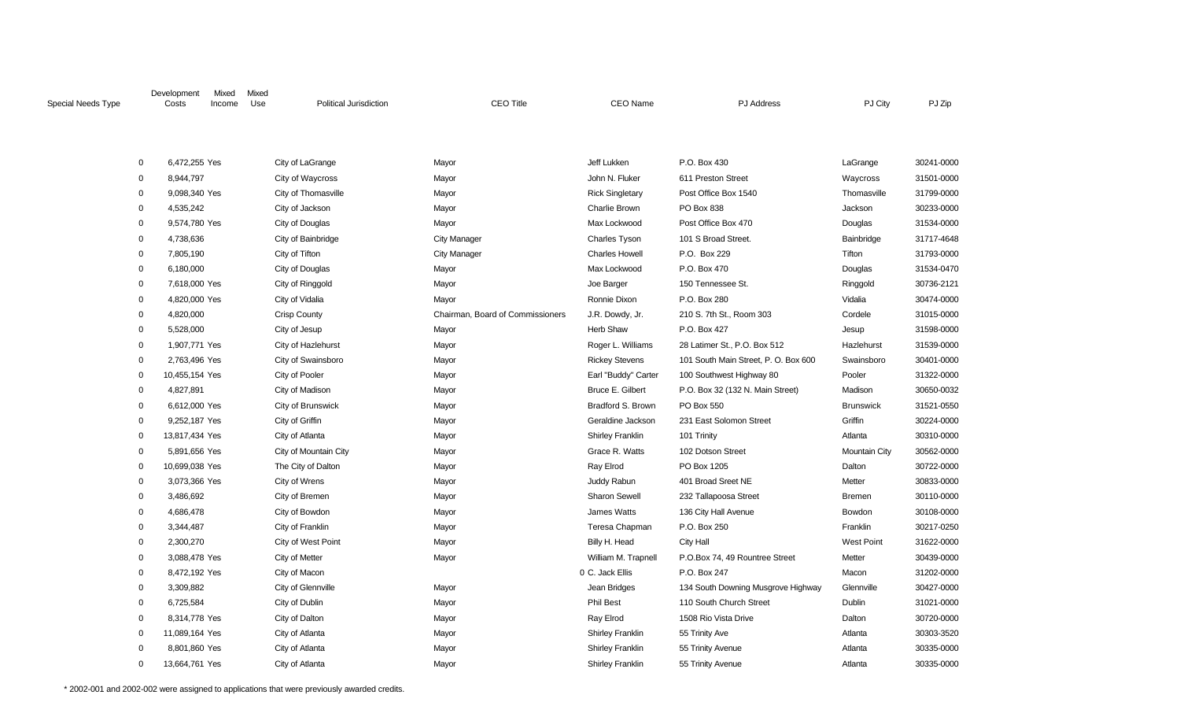| Special Needs Type |                                              | Development<br>Costs | Mixed<br>Income | Mixed<br>Use | <b>Political Jurisdiction</b> | <b>CEO Title</b>                 | <b>CEO Name</b>          | <b>PJ</b> Address                    | PJ City              | PJ Zip     |
|--------------------|----------------------------------------------|----------------------|-----------------|--------------|-------------------------------|----------------------------------|--------------------------|--------------------------------------|----------------------|------------|
|                    |                                              |                      |                 |              |                               |                                  |                          |                                      |                      |            |
|                    | $\mathbf 0$                                  | 6,472,255 Yes        |                 |              | City of LaGrange              | Mayor                            | Jeff Lukken              | P.O. Box 430                         | LaGrange             | 30241-0000 |
|                    | $\mathbf 0$<br>8,944,797<br>City of Waycross |                      |                 |              |                               | Mayor                            | John N. Fluker           | 611 Preston Street                   | Waycross             | 31501-0000 |
|                    | 0                                            | 9,098,340 Yes        |                 |              | City of Thomasville           | Mayor                            | <b>Rick Singletary</b>   | Post Office Box 1540                 | Thomasville          | 31799-0000 |
|                    | 0                                            | 4,535,242            |                 |              | City of Jackson               | Mayor                            | Charlie Brown            | PO Box 838                           | Jackson              | 30233-0000 |
|                    | 0                                            | 9,574,780 Yes        |                 |              | City of Douglas               | Mayor                            | Max Lockwood             | Post Office Box 470                  | Douglas              | 31534-0000 |
|                    | 0                                            | 4,738,636            |                 |              | City of Bainbridge            | <b>City Manager</b>              | <b>Charles Tyson</b>     | 101 S Broad Street.                  | Bainbridge           | 31717-4648 |
|                    | 0                                            | 7,805,190            |                 |              | City of Tifton                | <b>City Manager</b>              | <b>Charles Howell</b>    | P.O. Box 229                         | Tifton               | 31793-0000 |
|                    | 0                                            | 6,180,000            |                 |              | City of Douglas               | Mayor                            | Max Lockwood             | P.O. Box 470                         | Douglas              | 31534-0470 |
|                    | 0                                            | 7,618,000 Yes        |                 |              | City of Ringgold              | Mayor                            | Joe Barger               | 150 Tennessee St.                    | Ringgold             | 30736-2121 |
|                    | 0                                            | 4,820,000 Yes        |                 |              | City of Vidalia               | Mayor                            | Ronnie Dixon             | P.O. Box 280                         | Vidalia              | 30474-0000 |
|                    | 0                                            | 4,820,000            |                 |              | Crisp County                  | Chairman, Board of Commissioners | J.R. Dowdy, Jr.          | 210 S. 7th St., Room 303             | Cordele              | 31015-0000 |
|                    | 0                                            | 5,528,000            |                 |              | City of Jesup                 | Mayor                            | Herb Shaw                | P.O. Box 427                         | Jesup                | 31598-0000 |
|                    | 0                                            | 1,907,771 Yes        |                 |              | City of Hazlehurst            | Mayor                            | Roger L. Williams        | 28 Latimer St., P.O. Box 512         | Hazlehurst           | 31539-0000 |
|                    | 0                                            | 2,763,496 Yes        |                 |              | City of Swainsboro            | Mayor                            | <b>Rickey Stevens</b>    | 101 South Main Street, P. O. Box 600 | Swainsboro           | 30401-0000 |
|                    | 0                                            | 10,455,154 Yes       |                 |              | City of Pooler                | Mayor                            | Earl "Buddy" Carter      | 100 Southwest Highway 80             | Pooler               | 31322-0000 |
|                    | 0                                            | 4,827,891            |                 |              | City of Madison               | Mayor                            | Bruce E. Gilbert         | P.O. Box 32 (132 N. Main Street)     | Madison              | 30650-0032 |
|                    | 0                                            | 6,612,000 Yes        |                 |              | City of Brunswick             | Mayor                            | <b>Bradford S. Brown</b> | PO Box 550                           | <b>Brunswick</b>     | 31521-0550 |
|                    | 0                                            | 9,252,187 Yes        |                 |              | City of Griffin               | Mayor                            | Geraldine Jackson        | 231 East Solomon Street              | Griffin              | 30224-0000 |
|                    | $\mathbf 0$                                  | 13,817,434 Yes       |                 |              | City of Atlanta               | Mayor                            | <b>Shirley Franklin</b>  | 101 Trinity                          | Atlanta              | 30310-0000 |
|                    | 0                                            | 5,891,656 Yes        |                 |              | City of Mountain City         | Mayor                            | Grace R. Watts           | 102 Dotson Street                    | <b>Mountain City</b> | 30562-0000 |
|                    | 0                                            | 10,699,038 Yes       |                 |              | The City of Dalton            | Mayor                            | Ray Elrod                | PO Box 1205                          | Dalton               | 30722-0000 |
|                    | 0                                            | 3,073,366 Yes        |                 |              | City of Wrens                 | Mayor                            | Juddy Rabun              | 401 Broad Sreet NE                   | Metter               | 30833-0000 |
|                    | 0                                            | 3,486,692            |                 |              | City of Bremen                | Mayor                            | <b>Sharon Sewell</b>     | 232 Tallapoosa Street                | Bremen               | 30110-0000 |
|                    | 0                                            | 4,686,478            |                 |              | City of Bowdon                | Mayor                            | James Watts              | 136 City Hall Avenue                 | Bowdon               | 30108-0000 |
|                    | $\mathbf 0$                                  | 3,344,487            |                 |              | City of Franklin              | Mayor                            | Teresa Chapman           | P.O. Box 250                         | Franklin             | 30217-0250 |
|                    | $\mathbf 0$                                  | 2,300,270            |                 |              | City of West Point            | Mayor                            | Billy H. Head            | <b>City Hall</b>                     | <b>West Point</b>    | 31622-0000 |
|                    | $\mathbf 0$                                  | 3,088,478 Yes        |                 |              | City of Metter                | Mayor                            | William M. Trapnell      | P.O.Box 74, 49 Rountree Street       | Metter               | 30439-0000 |
|                    | $\mathbf 0$                                  | 8,472,192 Yes        |                 |              | City of Macon                 |                                  | 0 C. Jack Ellis          | P.O. Box 247                         | Macon                | 31202-0000 |
|                    | $\mathbf 0$                                  | 3,309,882            |                 |              | City of Glennville            | Mayor                            | Jean Bridges             | 134 South Downing Musgrove Highway   | Glennville           | 30427-0000 |
|                    | $\mathbf 0$                                  | 6,725,584            |                 |              | City of Dublin                | Mayor                            | Phil Best                | 110 South Church Street              | Dublin               | 31021-0000 |
|                    | 0                                            | 8,314,778 Yes        |                 |              | City of Dalton                | Mayor                            | Ray Elrod                | 1508 Rio Vista Drive                 | Dalton               | 30720-0000 |
|                    | $\mathbf 0$                                  | 11,089,164 Yes       |                 |              | City of Atlanta               | Mayor                            | <b>Shirley Franklin</b>  | 55 Trinity Ave                       | Atlanta              | 30303-3520 |
|                    | $\mathbf 0$                                  | 8,801,860 Yes        |                 |              | City of Atlanta               | Mayor                            | <b>Shirley Franklin</b>  | 55 Trinity Avenue                    | Atlanta              | 30335-0000 |
|                    | $\Omega$                                     | 13,664,761 Yes       |                 |              | City of Atlanta               | Mayor                            | <b>Shirley Franklin</b>  | 55 Trinity Avenue                    | Atlanta              | 30335-0000 |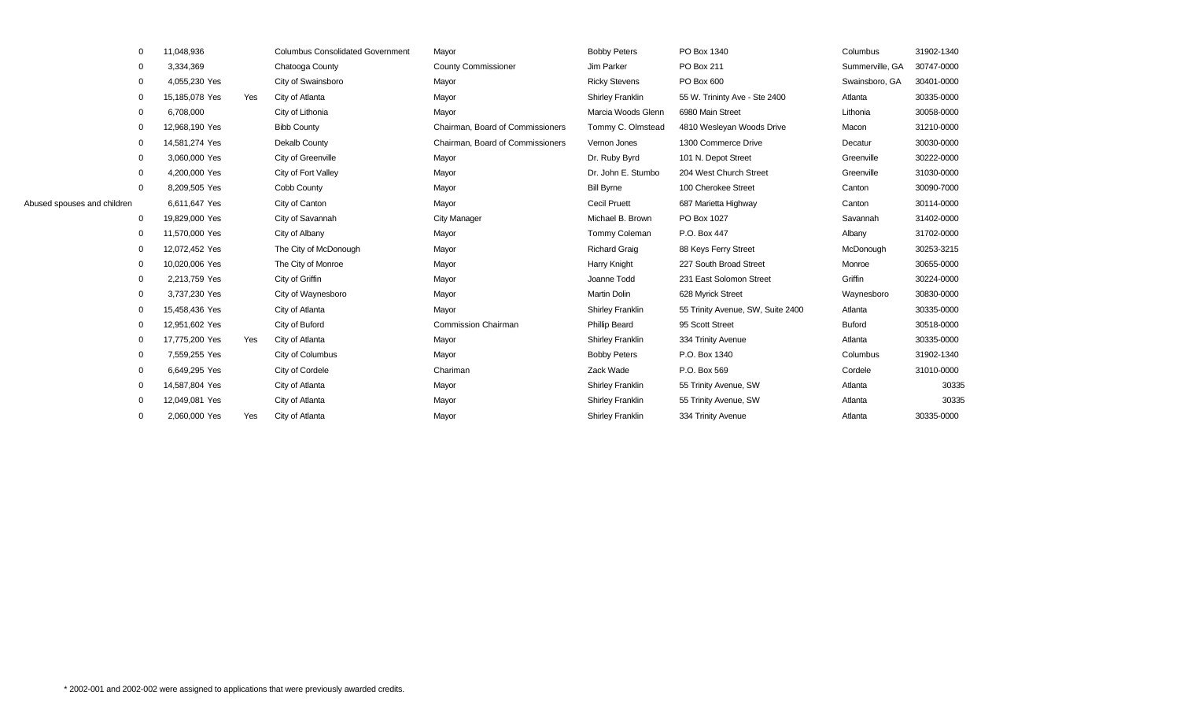|                             | $\mathbf 0$ | 11,048,936     |     | <b>Columbus Consolidated Government</b> | Mayor                            | <b>Bobby Peters</b>     | PO Box 1340                       | Columbus        | 31902-1340 |
|-----------------------------|-------------|----------------|-----|-----------------------------------------|----------------------------------|-------------------------|-----------------------------------|-----------------|------------|
|                             | $\mathbf 0$ | 3,334,369      |     | Chatooga County                         | <b>County Commissioner</b>       | Jim Parker              | PO Box 211                        | Summerville, GA | 30747-0000 |
|                             | $\mathbf 0$ | 4,055,230 Yes  |     | City of Swainsboro                      | Mayor                            | <b>Ricky Stevens</b>    | PO Box 600                        | Swainsboro, GA  | 30401-0000 |
|                             | $\mathbf 0$ | 15,185,078 Yes | Yes | City of Atlanta                         | Mayor                            | Shirley Franklin        | 55 W. Trininty Ave - Ste 2400     | Atlanta         | 30335-0000 |
|                             | $\mathbf 0$ | 6,708,000      |     | City of Lithonia                        | Mayor                            | Marcia Woods Glenn      | 6980 Main Street                  | Lithonia        | 30058-0000 |
|                             | $\mathbf 0$ | 12,968,190 Yes |     | <b>Bibb County</b>                      | Chairman, Board of Commissioners | Tommy C. Olmstead       | 4810 Wesleyan Woods Drive         | Macon           | 31210-0000 |
|                             | $\mathbf 0$ | 14,581,274 Yes |     | Dekalb County                           | Chairman, Board of Commissioners | Vernon Jones            | 1300 Commerce Drive               | Decatur         | 30030-0000 |
|                             | $\mathbf 0$ | 3,060,000 Yes  |     | City of Greenville                      | Mayor                            | Dr. Ruby Byrd           | 101 N. Depot Street               | Greenville      | 30222-0000 |
|                             | $\mathbf 0$ | 4,200,000 Yes  |     | City of Fort Valley                     | Mayor                            | Dr. John E. Stumbo      | 204 West Church Street            | Greenville      | 31030-0000 |
|                             | $\Omega$    | 8,209,505 Yes  |     | Cobb County                             | Mayor                            | <b>Bill Byrne</b>       | 100 Cherokee Street               | Canton          | 30090-7000 |
| Abused spouses and children |             | 6,611,647 Yes  |     | City of Canton                          | Mayor                            | <b>Cecil Pruett</b>     | 687 Marietta Highway              | Canton          | 30114-0000 |
|                             | $\mathbf 0$ | 19,829,000 Yes |     | City of Savannah                        | <b>City Manager</b>              | Michael B. Brown        | PO Box 1027                       | Savannah        | 31402-0000 |
|                             | $\mathbf 0$ | 11,570,000 Yes |     | City of Albany                          | Mayor                            | Tommy Coleman           | P.O. Box 447                      | Albany          | 31702-0000 |
|                             | 0           | 12,072,452 Yes |     | The City of McDonough                   | Mayor                            | <b>Richard Graig</b>    | 88 Keys Ferry Street              | McDonough       | 30253-3215 |
|                             | $\mathbf 0$ | 10,020,006 Yes |     | The City of Monroe                      | Mayor                            | Harry Knight            | 227 South Broad Street            | Monroe          | 30655-0000 |
|                             | 0           | 2,213,759 Yes  |     | City of Griffin                         | Mayor                            | Joanne Todd             | 231 East Solomon Street           | Griffin         | 30224-0000 |
|                             | $\mathbf 0$ | 3,737,230 Yes  |     | City of Waynesboro                      | Mayor                            | <b>Martin Dolin</b>     | 628 Myrick Street                 | Waynesboro      | 30830-0000 |
|                             | $\mathbf 0$ | 15,458,436 Yes |     | City of Atlanta                         | Mayor                            | <b>Shirley Franklin</b> | 55 Trinity Avenue, SW, Suite 2400 | Atlanta         | 30335-0000 |
|                             | $\mathbf 0$ | 12,951,602 Yes |     | City of Buford                          | <b>Commission Chairman</b>       | <b>Phillip Beard</b>    | 95 Scott Street                   | <b>Buford</b>   | 30518-0000 |
|                             | $\mathbf 0$ | 17,775,200 Yes | Yes | City of Atlanta                         | Mayor                            | <b>Shirley Franklin</b> | 334 Trinity Avenue                | Atlanta         | 30335-0000 |
|                             | $\mathbf 0$ | 7,559,255 Yes  |     | City of Columbus                        | Mayor                            | <b>Bobby Peters</b>     | P.O. Box 1340                     | Columbus        | 31902-1340 |
|                             | $\mathbf 0$ | 6,649,295 Yes  |     | City of Cordele                         | Chariman                         | Zack Wade               | P.O. Box 569                      | Cordele         | 31010-0000 |
|                             | $\mathbf 0$ | 14,587,804 Yes |     | City of Atlanta                         | Mayor                            | <b>Shirley Franklin</b> | 55 Trinity Avenue, SW             | Atlanta         | 30335      |
|                             | $\Omega$    | 12,049,081 Yes |     | City of Atlanta                         | Mayor                            | <b>Shirley Franklin</b> | 55 Trinity Avenue, SW             | Atlanta         | 30335      |
|                             | $\mathbf 0$ | 2,060,000 Yes  | Yes | City of Atlanta                         | Mayor                            | <b>Shirley Franklin</b> | 334 Trinity Avenue                | Atlanta         | 30335-0000 |
|                             |             |                |     |                                         |                                  |                         |                                   |                 |            |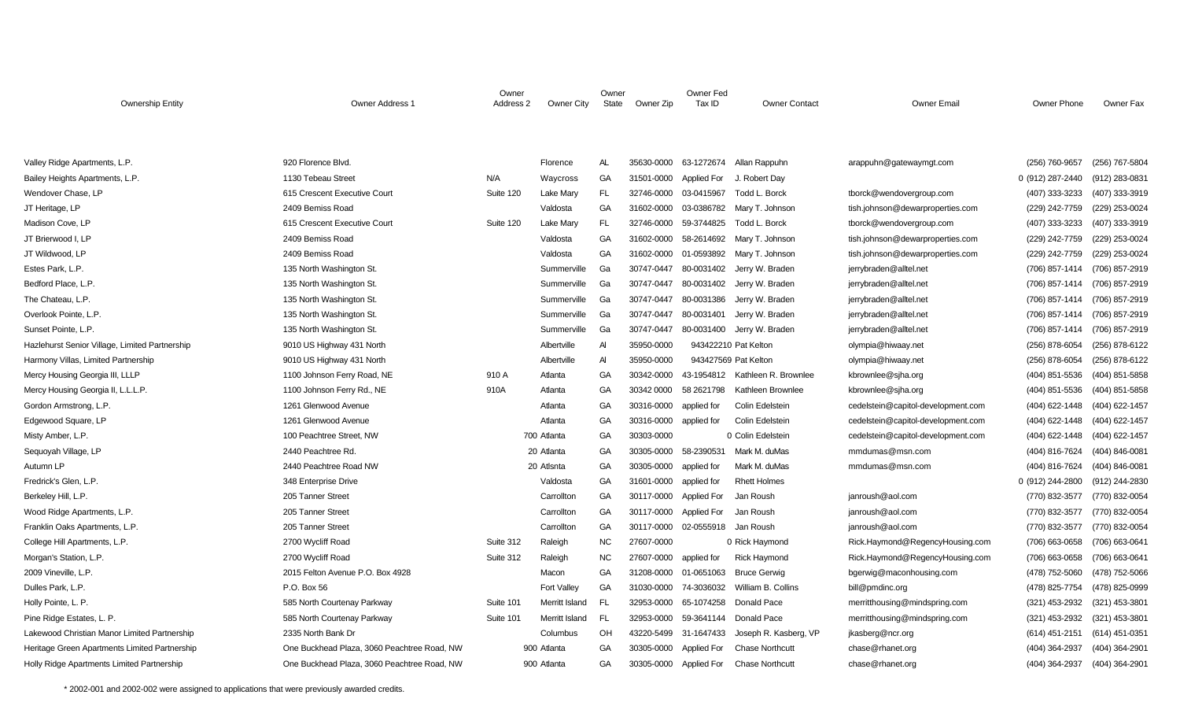| <b>Ownership Entity</b>                        | Owner Address 1                             | Owner<br>Address 2 | Owner City     | Owner<br>State | Owner Zip  | Owner Fed<br>Tax ID | <b>Owner Contact</b>            | <b>Owner Email</b>                 | Owner Phone      | Owner Fax      |
|------------------------------------------------|---------------------------------------------|--------------------|----------------|----------------|------------|---------------------|---------------------------------|------------------------------------|------------------|----------------|
|                                                |                                             |                    |                |                |            |                     |                                 |                                    |                  |                |
| Valley Ridge Apartments, L.P.                  | 920 Florence Blvd.                          |                    | Florence       | AL             | 35630-0000 | 63-1272674          | Allan Rappuhn                   | arappuhn@gatewaymgt.com            | (256) 760-9657   | (256) 767-5804 |
| Bailey Heights Apartments, L.P.                | 1130 Tebeau Street                          | N/A                | Waycross       | GA             | 31501-0000 | <b>Applied For</b>  | J. Robert Day                   |                                    | 0 (912) 287-2440 | (912) 283-0831 |
| Wendover Chase, LP                             | 615 Crescent Executive Court                | Suite 120          | Lake Mary      | FL             | 32746-0000 | 03-0415967          | Todd L. Borck                   | tborck@wendovergroup.com           | (407) 333-3233   | (407) 333-3919 |
| JT Heritage, LP                                | 2409 Bemiss Road                            |                    | Valdosta       | GA             | 31602-0000 | 03-0386782          | Mary T. Johnson                 | tish.johnson@dewarproperties.com   | (229) 242-7759   | (229) 253-0024 |
| Madison Cove, LP                               | 615 Crescent Executive Court                | Suite 120          | Lake Mary      | <b>FL</b>      | 32746-0000 | 59-3744825          | Todd L. Borck                   | tborck@wendovergroup.com           | (407) 333-3233   | (407) 333-3919 |
| JT Brierwood I, LP                             | 2409 Bemiss Road                            |                    | Valdosta       | GA             | 31602-0000 | 58-2614692          | Mary T. Johnson                 | tish.johnson@dewarproperties.com   | (229) 242-7759   | (229) 253-0024 |
| JT Wildwood, LP                                | 2409 Bemiss Road                            |                    | Valdosta       | GA             | 31602-0000 | 01-0593892          | Mary T. Johnson                 | tish.johnson@dewarproperties.com   | (229) 242-7759   | (229) 253-0024 |
| Estes Park, L.P.                               | 135 North Washington St.                    |                    | Summerville    | Ga             | 30747-0447 | 80-0031402          | Jerry W. Braden                 | jerrybraden@alltel.net             | (706) 857-1414   | (706) 857-2919 |
| Bedford Place, L.P.                            | 135 North Washington St.                    |                    | Summerville    | Ga             | 30747-0447 | 80-0031402          | Jerry W. Braden                 | jerrybraden@alltel.net             | (706) 857-1414   | (706) 857-2919 |
| The Chateau, L.P.                              | 135 North Washington St.                    |                    | Summerville    | Ga             | 30747-0447 | 80-0031386          | Jerry W. Braden                 | jerrybraden@alltel.net             | (706) 857-1414   | (706) 857-2919 |
| Overlook Pointe, L.P.                          | 135 North Washington St.                    |                    | Summerville    | Ga             | 30747-0447 | 80-0031401          | Jerry W. Braden                 | jerrybraden@alltel.net             | (706) 857-1414   | (706) 857-2919 |
| Sunset Pointe, L.P.                            | 135 North Washington St.                    |                    | Summerville    | Ga             | 30747-0447 | 80-0031400          | Jerry W. Braden                 | jerrybraden@alltel.net             | (706) 857-1414   | (706) 857-2919 |
| Hazlehurst Senior Village, Limited Partnership | 9010 US Highway 431 North                   |                    | Albertville    | A              | 35950-0000 |                     | 943422210 Pat Kelton            | olympia@hiwaay.net                 | (256) 878-6054   | (256) 878-6122 |
| Harmony Villas, Limited Partnership            | 9010 US Highway 431 North                   |                    | Albertville    | A              | 35950-0000 |                     | 943427569 Pat Kelton            | olympia@hiwaay.net                 | (256) 878-6054   | (256) 878-6122 |
| Mercy Housing Georgia III, LLLP                | 1100 Johnson Ferry Road, NE                 | 910 A              | Atlanta        | GA             | 30342-0000 |                     | 43-1954812 Kathleen R. Brownlee | kbrownlee@sjha.org                 | (404) 851-5536   | (404) 851-5858 |
| Mercy Housing Georgia II, L.L.L.P.             | 1100 Johnson Ferry Rd., NE                  | 910A               | Atlanta        | GA             | 30342 0000 | 58 2621798          | Kathleen Brownlee               | kbrownlee@sjha.org                 | (404) 851-5536   | (404) 851-5858 |
| Gordon Armstrong, L.P.                         | 1261 Glenwood Avenue                        |                    | Atlanta        | GA             | 30316-0000 | applied for         | <b>Colin Edelstein</b>          | cedelstein@capitol-development.com | (404) 622-1448   | (404) 622-1457 |
| Edgewood Square, LP                            | 1261 Glenwood Avenue                        |                    | Atlanta        | GA             | 30316-0000 | applied for         | Colin Edelstein                 | cedelstein@capitol-development.com | (404) 622-1448   | (404) 622-1457 |
| Misty Amber, L.P.                              | 100 Peachtree Street, NW                    |                    | 700 Atlanta    | GA             | 30303-0000 |                     | 0 Colin Edelstein               | cedelstein@capitol-development.com | (404) 622-1448   | (404) 622-1457 |
| Sequoyah Village, LP                           | 2440 Peachtree Rd.                          |                    | 20 Atlanta     | GA             | 30305-0000 | 58-2390531          | Mark M. duMas                   | mmdumas@msn.com                    | (404) 816-7624   | (404) 846-0081 |
| Autumn LP                                      | 2440 Peachtree Road NW                      |                    | 20 Atlsnta     | GA             | 30305-0000 | applied for         | Mark M. duMas                   | mmdumas@msn.com                    | (404) 816-7624   | (404) 846-0081 |
| Fredrick's Glen, L.P.                          | 348 Enterprise Drive                        |                    | Valdosta       | GA             | 31601-0000 | applied for         | <b>Rhett Holmes</b>             |                                    | 0 (912) 244-2800 | (912) 244-2830 |
| Berkeley Hill, L.P.                            | 205 Tanner Street                           |                    | Carrollton     | GA             | 30117-0000 | <b>Applied For</b>  | Jan Roush                       | janroush@aol.com                   | (770) 832-3577   | (770) 832-0054 |
| Wood Ridge Apartments, L.P.                    | 205 Tanner Street                           |                    | Carrollton     | GA             | 30117-0000 | <b>Applied For</b>  | Jan Roush                       | janroush@aol.com                   | (770) 832-3577   | (770) 832-0054 |
| Franklin Oaks Apartments, L.P.                 | 205 Tanner Street                           |                    | Carrollton     | GA             | 30117-0000 | 02-0555918          | Jan Roush                       | janroush@aol.com                   | (770) 832-3577   | (770) 832-0054 |
| College Hill Apartments, L.P.                  | 2700 Wycliff Road                           | Suite 312          | Raleigh        | <b>NC</b>      | 27607-0000 |                     | 0 Rick Haymond                  | Rick.Haymond@RegencyHousing.com    | (706) 663-0658   | (706) 663-0641 |
| Morgan's Station, L.P.                         | 2700 Wycliff Road                           | Suite 312          | Raleigh        | <b>NC</b>      | 27607-0000 | applied for         | <b>Rick Haymond</b>             | Rick.Haymond@RegencyHousing.com    | (706) 663-0658   | (706) 663-0641 |
| 2009 Vineville, L.P.                           | 2015 Felton Avenue P.O. Box 4928            |                    | Macon          | GA             | 31208-0000 | 01-0651063          | <b>Bruce Gerwig</b>             | bgerwig@maconhousing.com           | (478) 752-5060   | (478) 752-5066 |
| Dulles Park, L.P.                              | P.O. Box 56                                 |                    | Fort Valley    | GA             | 31030-0000 | 74-3036032          | William B. Collins              | bill@pmdinc.org                    | (478) 825-7754   | (478) 825-0999 |
| Holly Pointe, L. P.                            | 585 North Courtenay Parkway                 | Suite 101          | Merritt Island | <b>FL</b>      | 32953-0000 | 65-1074258          | Donald Pace                     | merritthousing@mindspring.com      | (321) 453-2932   | (321) 453-3801 |
| Pine Ridge Estates, L. P.                      | 585 North Courtenay Parkway                 | Suite 101          | Merritt Island | - FL           | 32953-0000 | 59-3641144          | Donald Pace                     | merritthousing@mindspring.com      | (321) 453-2932   | (321) 453-3801 |
| Lakewood Christian Manor Limited Partnership   | 2335 North Bank Dr                          |                    | Columbus       | OH             | 43220-5499 | 31-1647433          | Joseph R. Kasberg, VP           | jkasberg@ncr.org                   | (614) 451-2151   | (614) 451-0351 |
| Heritage Green Apartments Limited Partnership  | One Buckhead Plaza, 3060 Peachtree Road, NW |                    | 900 Atlanta    | GA             | 30305-0000 | Applied For         | <b>Chase Northcutt</b>          | chase@rhanet.org                   | (404) 364-2937   | (404) 364-2901 |
| Holly Ridge Apartments Limited Partnership     | One Buckhead Plaza, 3060 Peachtree Road, NW |                    | 900 Atlanta    | GA             | 30305-0000 | Applied For         | <b>Chase Northcutt</b>          | chase@rhanet.org                   | (404) 364-2937   | (404) 364-2901 |